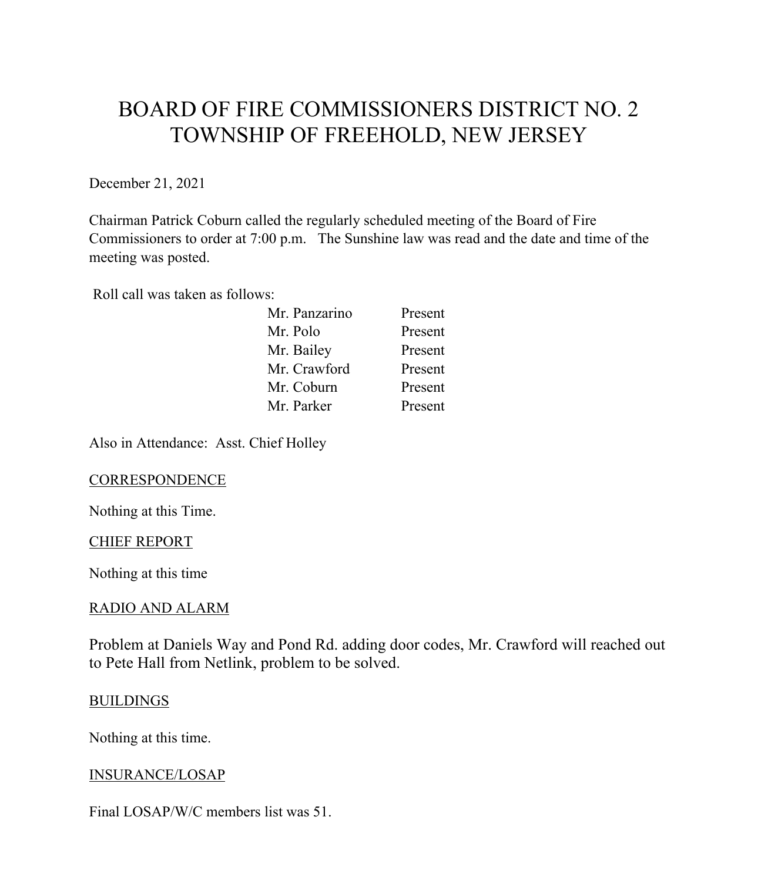# BOARD OF FIRE COMMISSIONERS DISTRICT NO. 2 TOWNSHIP OF FREEHOLD, NEW JERSEY

December 21, 2021

Chairman Patrick Coburn called the regularly scheduled meeting of the Board of Fire Commissioners to order at 7:00 p.m. The Sunshine law was read and the date and time of the meeting was posted.

Roll call was taken as follows:

| Present |
|---------|
| Present |
| Present |
| Present |
| Present |
| Present |
|         |

Also in Attendance: Asst. Chief Holley

#### **CORRESPONDENCE**

Nothing at this Time.

#### CHIEF REPORT

Nothing at this time

#### RADIO AND ALARM

Problem at Daniels Way and Pond Rd. adding door codes, Mr. Crawford will reached out to Pete Hall from Netlink, problem to be solved.

#### **BUILDINGS**

Nothing at this time.

#### INSURANCE/LOSAP

Final LOSAP/W/C members list was 51.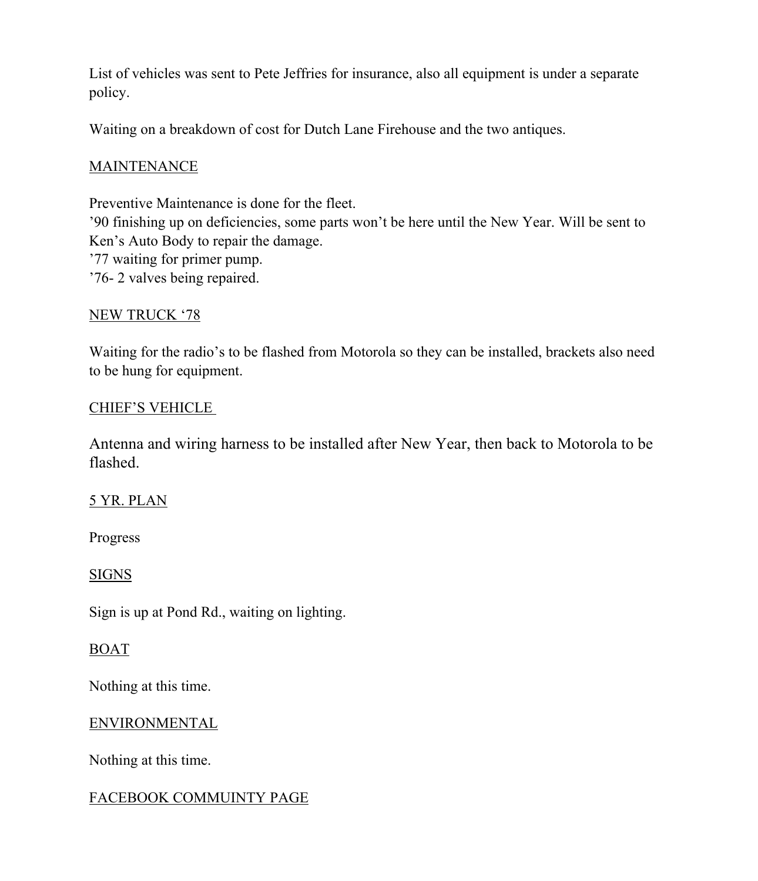List of vehicles was sent to Pete Jeffries for insurance, also all equipment is under a separate policy.

Waiting on a breakdown of cost for Dutch Lane Firehouse and the two antiques.

## **MAINTENANCE**

Preventive Maintenance is done for the fleet. '90 finishing up on deficiencies, some parts won't be here until the New Year. Will be sent to Ken's Auto Body to repair the damage. '77 waiting for primer pump. '76- 2 valves being repaired.

## NEW TRUCK '78

Waiting for the radio's to be flashed from Motorola so they can be installed, brackets also need to be hung for equipment.

## CHIEF'S VEHICLE

Antenna and wiring harness to be installed after New Year, then back to Motorola to be flashed.

# 5 YR. PLAN

Progress

# SIGNS

Sign is up at Pond Rd., waiting on lighting.

# BOAT

Nothing at this time.

#### ENVIRONMENTAL

Nothing at this time.

# FACEBOOK COMMUINTY PAGE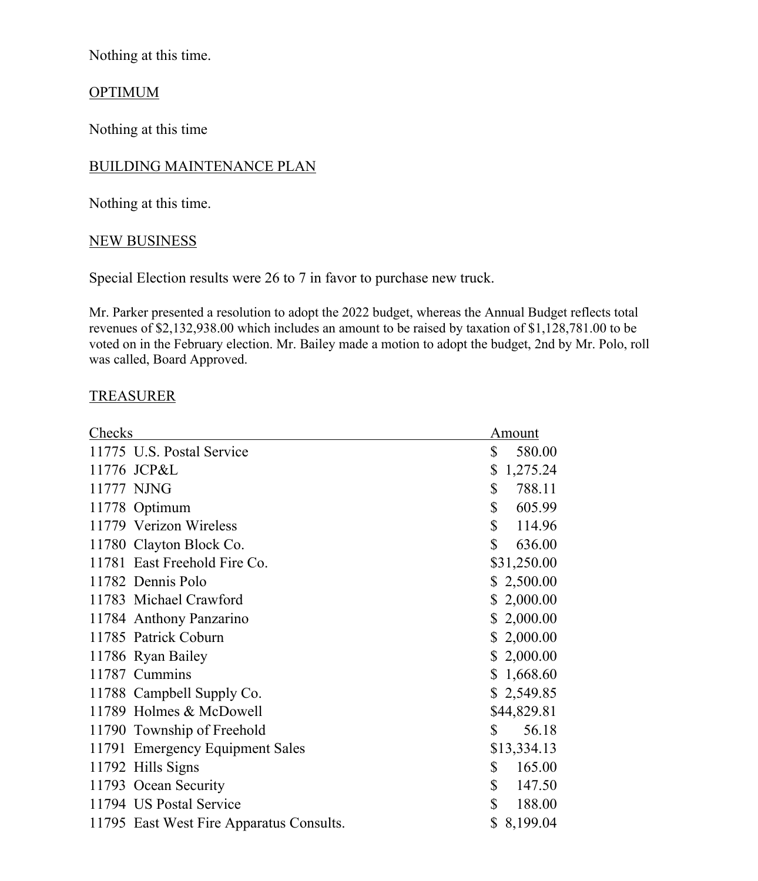Nothing at this time.

## **OPTIMUM**

Nothing at this time

## BUILDING MAINTENANCE PLAN

Nothing at this time.

#### NEW BUSINESS

Special Election results were 26 to 7 in favor to purchase new truck.

Mr. Parker presented a resolution to adopt the 2022 budget, whereas the Annual Budget reflects total revenues of \$2,132,938.00 which includes an amount to be raised by taxation of \$1,128,781.00 to be voted on in the February election. Mr. Bailey made a motion to adopt the budget, 2nd by Mr. Polo, roll was called, Board Approved.

#### TREASURER

| Checks |                                          | Amount         |
|--------|------------------------------------------|----------------|
|        | 11775 U.S. Postal Service                | \$<br>580.00   |
|        | 11776 JCP&L                              | \$<br>1,275.24 |
|        | 11777 NJNG                               | \$<br>788.11   |
|        | 11778 Optimum                            | \$<br>605.99   |
|        | 11779 Verizon Wireless                   | \$<br>114.96   |
|        | 11780 Clayton Block Co.                  | \$<br>636.00   |
|        | 11781 East Freehold Fire Co.             | \$31,250.00    |
|        | 11782 Dennis Polo                        | \$2,500.00     |
|        | 11783 Michael Crawford                   | \$2,000.00     |
|        | 11784 Anthony Panzarino                  | \$2,000.00     |
|        | 11785 Patrick Coburn                     | 2,000.00<br>\$ |
|        | 11786 Ryan Bailey                        | \$2,000.00     |
|        | 11787 Cummins                            | \$<br>1,668.60 |
|        | 11788 Campbell Supply Co.                | \$2,549.85     |
|        | 11789 Holmes & McDowell                  | \$44,829.81    |
|        | 11790 Township of Freehold               | \$<br>56.18    |
|        | 11791 Emergency Equipment Sales          | \$13,334.13    |
|        | 11792 Hills Signs                        | 165.00<br>\$   |
|        | 11793 Ocean Security                     | \$<br>147.50   |
|        | 11794 US Postal Service                  | \$<br>188.00   |
|        | 11795 East West Fire Apparatus Consults. | \$<br>8,199.04 |